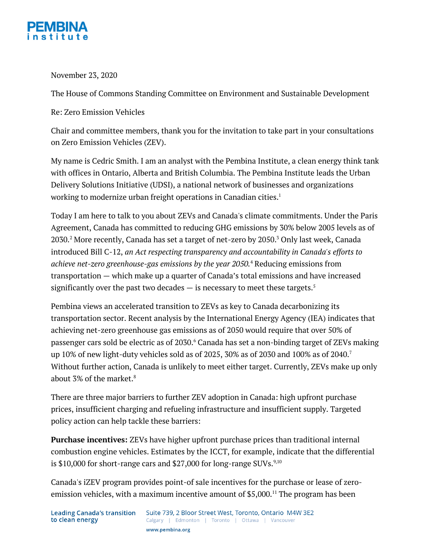

November 23, 2020

The House of Commons Standing Committee on Environment and Sustainable Development

Re: Zero Emission Vehicles

Chair and committee members, thank you for the invitation to take part in your consultations on Zero Emission Vehicles (ZEV).

My name is Cedric Smith. I am an analyst with the Pembina Institute, a clean energy think tank with offices in Ontario, Alberta and British Columbia. The Pembina Institute leads the Urban Delivery Solutions Initiative (UDSI), a national network of businesses and organizations working to modernize urban freight operations in Canadian cities.<sup>1</sup>

Today I am here to talk to you about ZEVs and Canada's climate commitments. Under the Paris Agreement, Canada has committed to reducing GHG emissions by 30% below 2005 levels as of 2030.2 More recently, Canada has set a target of net-zero by 2050.3 Only last week, Canada introduced Bill C-12, *an Act respecting transparency and accountability in Canada's efforts to achieve net-zero greenhouse-gas emissions by the year 2050.* <sup>4</sup> Reducing emissions from transportation — which make up a quarter of Canada's total emissions and have increased significantly over the past two decades  $-$  is necessary to meet these targets.<sup>5</sup>

Pembina views an accelerated transition to ZEVs as key to Canada decarbonizing its transportation sector. Recent analysis by the International Energy Agency (IEA) indicates that achieving net-zero greenhouse gas emissions as of 2050 would require that over 50% of passenger cars sold be electric as of 2030.6 Canada has set a non-binding target of ZEVs making up 10% of new light-duty vehicles sold as of 2025, 30% as of 2030 and 100% as of 2040.<sup>7</sup> Without further action, Canada is unlikely to meet either target. Currently, ZEVs make up only about 3% of the market.<sup>8</sup>

There are three major barriers to further ZEV adoption in Canada: high upfront purchase prices, insufficient charging and refueling infrastructure and insufficient supply. Targeted policy action can help tackle these barriers:

**Purchase incentives:** ZEVs have higher upfront purchase prices than traditional internal combustion engine vehicles. Estimates by the ICCT, for example, indicate that the differential is  $$10,000$  for short-range cars and  $$27,000$  for long-range SUVs. $^{9,10}$ 

Canada's iZEV program provides point-of sale incentives for the purchase or lease of zeroemission vehicles, with a maximum incentive amount of \$5,000. <sup>11</sup> The program has been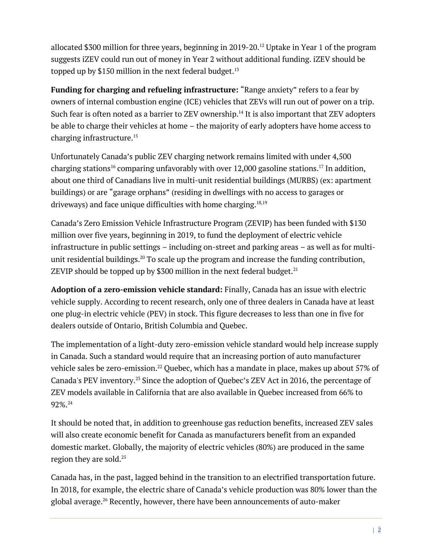allocated \$300 million for three years, beginning in 2019-20.12 Uptake in Year 1 of the program suggests iZEV could run out of money in Year 2 without additional funding. iZEV should be topped up by \$150 million in the next federal budget.<sup>13</sup>

**Funding for charging and refueling infrastructure:** "Range anxiety" refers to a fear by owners of internal combustion engine (ICE) vehicles that ZEVs will run out of power on a trip. Such fear is often noted as a barrier to ZEV ownership.<sup>14</sup> It is also important that ZEV adopters be able to charge their vehicles at home – the majority of early adopters have home access to charging infrastructure.15

Unfortunately Canada's public ZEV charging network remains limited with under 4,500 charging stations<sup>16</sup> comparing unfavorably with over 12,000 gasoline stations.<sup>17</sup> In addition, about one third of Canadians live in multi-unit residential buildings (MURBS) (ex: apartment buildings) or are "garage orphans" (residing in dwellings with no access to garages or driveways) and face unique difficulties with home charging.<sup>18,19</sup>

Canada's Zero Emission Vehicle Infrastructure Program (ZEVIP) has been funded with \$130 million over five years, beginning in 2019, to fund the deployment of electric vehicle infrastructure in public settings – including on-street and parking areas – as well as for multiunit residential buildings.<sup>20</sup> To scale up the program and increase the funding contribution, ZEVIP should be topped up by \$300 million in the next federal budget. $^{21}$ 

**Adoption of a zero-emission vehicle standard:** Finally, Canada has an issue with electric vehicle supply. According to recent research, only one of three dealers in Canada have at least one plug-in electric vehicle (PEV) in stock. This figure decreases to less than one in five for dealers outside of Ontario, British Columbia and Quebec.

The implementation of a light-duty zero-emission vehicle standard would help increase supply in Canada. Such a standard would require that an increasing portion of auto manufacturer vehicle sales be zero-emission.<sup>22</sup> Quebec, which has a mandate in place, makes up about 57% of Canada's PEV inventory.<sup>23</sup> Since the adoption of Quebec's ZEV Act in 2016, the percentage of ZEV models available in California that are also available in Quebec increased from 66% to 92%.24

It should be noted that, in addition to greenhouse gas reduction benefits, increased ZEV sales will also create economic benefit for Canada as manufacturers benefit from an expanded domestic market. Globally, the majority of electric vehicles (80%) are produced in the same region they are sold.<sup>25</sup>

Canada has, in the past, lagged behind in the transition to an electrified transportation future. In 2018, for example, the electric share of Canada's vehicle production was 80% lower than the global average.<sup>26</sup> Recently, however, there have been announcements of auto-maker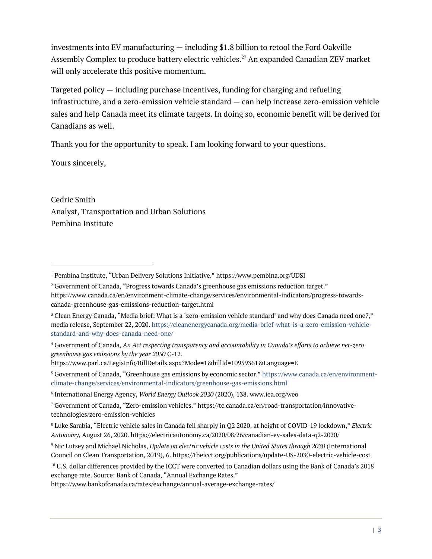investments into EV manufacturing — including \$1.8 billion to retool the Ford Oakville Assembly Complex to produce battery electric vehicles.<sup>27</sup> An expanded Canadian ZEV market will only accelerate this positive momentum.

Targeted policy — including purchase incentives, funding for charging and refueling infrastructure, and a zero-emission vehicle standard — can help increase zero-emission vehicle sales and help Canada meet its climate targets. In doing so, economic benefit will be derived for Canadians as well.

Thank you for the opportunity to speak. I am looking forward to your questions.

Yours sincerely,

Cedric Smith Analyst, Transportation and Urban Solutions Pembina Institute

<sup>2</sup> Government of Canada, "Progress towards Canada's greenhouse gas emissions reduction target." https://www.canada.ca/en/environment-climate-change/services/environmental-indicators/progress-towardscanada-greenhouse-gas-emissions-reduction-target.html

<sup>1</sup> Pembina Institute, "Urban Delivery Solutions Initiative." https://www.pembina.org/UDSI

<sup>3</sup> Clean Energy Canada, "Media brief: What is a 'zero-emission vehicle standard' and why does Canada need one?," media release, September 22, 2020. https://cleanenergycanada.org/media-brief-what-is-a-zero-emission-vehiclestandard-and-why-does-canada-need-one/

<sup>4</sup> Government of Canada, *An Act respecting transparency and accountability in Canada's efforts to achieve net-zero greenhouse gas emissions by the year 2050* C-12.

https://www.parl.ca/LegisInfo/BillDetails.aspx?Mode=1&billId=10959361&Language=E

<sup>5</sup> Government of Canada, "Greenhouse gas emissions by economic sector." https://www.canada.ca/en/environmentclimate-change/services/environmental-indicators/greenhouse-gas-emissions.html

<sup>6</sup> International Energy Agency, *World Energy Outlook 2020* (2020), 138. www.iea.org/weo

<sup>7</sup> Government of Canada, "Zero-emission vehicles." https://tc.canada.ca/en/road-transportation/innovativetechnologies/zero-emission-vehicles

<sup>8</sup> Luke Sarabia, "Electric vehicle sales in Canada fell sharply in Q2 2020, at height of COVID-19 lockdown," *Electric Autonomy*, August 26, 2020. https://electricautonomy.ca/2020/08/26/canadian-ev-sales-data-q2-2020/

<sup>9</sup> Nic Lutsey and Michael Nicholas, *Update on electric vehicle costs in the United States through 2030* (International Council on Clean Transportation, 2019), 6. https://theicct.org/publications/update-US-2030-electric-vehicle-cost

<sup>10</sup> U.S. dollar differences provided by the ICCT were converted to Canadian dollars using the Bank of Canada's 2018 exchange rate. Source: Bank of Canada, "Annual Exchange Rates."

https://www.bankofcanada.ca/rates/exchange/annual-average-exchange-rates/